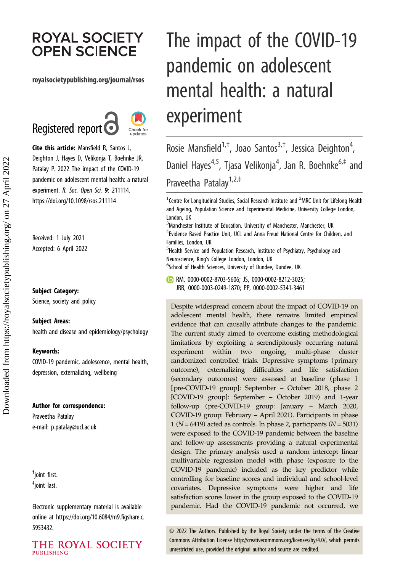# **ROYAL SOCIETY OPEN SCIENCE**

### royalsocietypublishing.org/journal/rsos





Cite this article: Mansfield R, Santos J, Deighton J, Hayes D, Velikonja T, Boehnke JR, Patalay P. 2022 The impact of the COVID-19 pandemic on adolescent mental health: a natural experiment. R. Soc. Open Sci. 9: 211114. https://doi.org/10.1098/rsos.211114

Received: 1 July 2021 Accepted: 6 April 2022

#### Subject Category:

Science, society and policy

#### Subject Areas:

health and disease and epidemiology/psychology

#### Keywords:

COVID-19 pandemic, adolescence, mental health, depression, externalizing, wellbeing

#### Author for correspondence:

Praveetha Patalay e-mail: [p.patalay@ucl.ac.uk](mailto:p.patalay@ucl.ac.uk)

† joint first. ‡ joint last.

Electronic supplementary material is available online at [https://doi.org/10.6084/m9.figshare.c.](https://doi.org/10.6084/m9.figshare.c.5953432) [5953432.](https://doi.org/10.6084/m9.figshare.c.5953432)

THE ROYAL SOCIETY **PUBLISHING** 

# The impact of the COVID-19 pandemic on adolescent mental health: a natural experiment

Rosie Mansfield<sup>1,†</sup>, Joao Santos<sup>3,†</sup>, Jessica Deighton<sup>4</sup> , Daniel Hayes<sup>4,5</sup>, Tjasa Velikonja<sup>4</sup>, Jan R. Boehnke<sup>6,‡</sup> and Praveetha Patalay<sup>1,2,‡</sup>

 $^1$ Centre for Longitudinal Studies, Social Research Institute and  $^2$ MRC Unit for Lifelong Health and Ageing, Population Science and Experimental Medicine, University College London, London, UK

 ${}^{3}$ Manchester Institute of Education, University of Manchester, Manchester, UK <sup>4</sup> Evidence Based Practice Unit, UCL and Anna Freud National Centre for Children, and Families, London, UK

<sup>5</sup>Health Service and Population Research, Institute of Psychiatry, Psychology and Neuroscience, King's College London, London, UK

<sup>6</sup>School of Health Sciences, University of Dundee, Dundee, UK

RM, [0000-0002-8703-5606](https://orcid.org/0000-0002-8703-5606); JS, [0000-0002-8212-3025;](http://orcid.org/0000-0002-8212-3025) JRB, [0000-0003-0249-1870;](https://orcid.org/0000-0003-0249-1870) PP, [0000-0002-5341-3461](http://orcid.org/0000-0002-5341-3461)

Despite widespread concern about the impact of COVID-19 on adolescent mental health, there remains limited empirical evidence that can causally attribute changes to the pandemic. The current study aimed to overcome existing methodological limitations by exploiting a serendipitously occurring natural experiment within two ongoing, multi-phase cluster randomized controlled trials. Depressive symptoms (primary outcome), externalizing difficulties and life satisfaction (secondary outcomes) were assessed at baseline (phase 1 [pre-COVID-19 group]: September – October 2018, phase 2 [COVID-19 group]: September – October 2019) and 1-year follow-up (pre-COVID-19 group: January – March 2020, COVID-19 group: February – April 2021). Participants in phase 1 ( $N = 6419$ ) acted as controls. In phase 2, participants ( $N = 5031$ ) were exposed to the COVID-19 pandemic between the baseline and follow-up assessments providing a natural experimental design. The primary analysis used a random intercept linear multivariable regression model with phase (exposure to the COVID-19 pandemic) included as the key predictor while controlling for baseline scores and individual and school-level covariates. Depressive symptoms were higher and life satisfaction scores lower in the group exposed to the COVID-19 pandemic. Had the COVID-19 pandemic not occurred, we

© 2022 The Authors. Published by the Royal Society under the terms of the Creative Commons Attribution License<http://creativecommons.org/licenses/by/4.0/>, which permits unrestricted use, provided the original author and source are credited.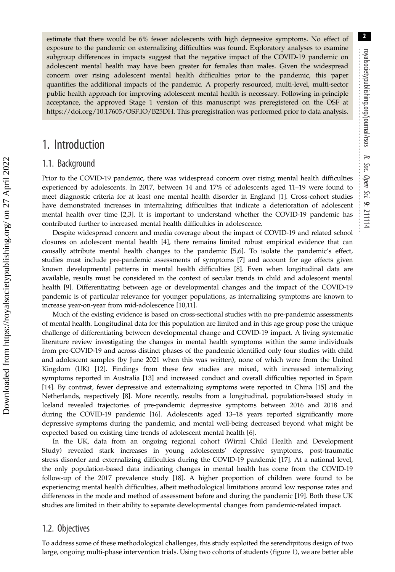estimate that there would be 6% fewer adolescents with high depressive symptoms. No effect of exposure to the pandemic on externalizing difficulties was found. Exploratory analyses to examine subgroup differences in impacts suggest that the negative impact of the COVID-19 pandemic on adolescent mental health may have been greater for females than males. Given the widespread concern over rising adolescent mental health difficulties prior to the pandemic, this paper quantifies the additional impacts of the pandemic. A properly resourced, multi-level, multi-sector public health approach for improving adolescent mental health is necessary. Following in-principle acceptance, the approved Stage 1 version of this manuscript was preregistered on the OSF at [https://doi.org/10.17605/OSF.IO/B25DH](http://dx.doi.org/https://doi.org/10.17605/OSF.IO/B25DH). This preregistration was performed prior to data analysis.

# 1. Introduction

### 1.1. Background

Prior to the COVID-19 pandemic, there was widespread concern over rising mental health difficulties experienced by adolescents. In 2017, between 14 and 17% of adolescents aged 11–19 were found to meet diagnostic criteria for at least one mental health disorder in England [[1](#page-17-0)]. Cross-cohort studies have demonstrated increases in internalizing difficulties that indicate a deterioration of adolescent mental health over time [[2,3\]](#page-17-0). It is important to understand whether the COVID-19 pandemic has contributed further to increased mental health difficulties in adolescence.

Despite widespread concern and media coverage about the impact of COVID-19 and related school closures on adolescent mental health [[4](#page-17-0)], there remains limited robust empirical evidence that can causally attribute mental health changes to the pandemic [[5](#page-17-0),[6](#page-17-0)]. To isolate the pandemic's effect, studies must include pre-pandemic assessments of symptoms [\[7\]](#page-17-0) and account for age effects given known developmental patterns in mental health difficulties [\[8\]](#page-17-0). Even when longitudinal data are available, results must be considered in the context of secular trends in child and adolescent mental health [\[9\]](#page-17-0). Differentiating between age or developmental changes and the impact of the COVID-19 pandemic is of particular relevance for younger populations, as internalizing symptoms are known to increase year-on-year from mid-adolescence [[10,11\]](#page-17-0).

Much of the existing evidence is based on cross-sectional studies with no pre-pandemic assessments of mental health. Longitudinal data for this population are limited and in this age group pose the unique challenge of differentiating between developmental change and COVID-19 impact. A living systematic literature review investigating the changes in mental health symptoms within the same individuals from pre-COVID-19 and across distinct phases of the pandemic identified only four studies with child and adolescent samples (by June 2021 when this was written), none of which were from the United Kingdom (UK) [[12\]](#page-17-0). Findings from these few studies are mixed, with increased internalizing symptoms reported in Australia [[13\]](#page-17-0) and increased conduct and overall difficulties reported in Spain [\[14](#page-17-0)]. By contrast, fewer depressive and externalizing symptoms were reported in China [[15\]](#page-17-0) and the Netherlands, respectively [[8\]](#page-17-0). More recently, results from a longitudinal, population-based study in Iceland revealed trajectories of pre-pandemic depressive symptoms between 2016 and 2018 and during the COVID-19 pandemic [\[16](#page-17-0)]. Adolescents aged 13–18 years reported significantly more depressive symptoms during the pandemic, and mental well-being decreased beyond what might be expected based on existing time trends of adolescent mental health [\[6\]](#page-17-0).

In the UK, data from an ongoing regional cohort (Wirral Child Health and Development Study) revealed stark increases in young adolescents' depressive symptoms, post-traumatic stress disorder and externalizing difficulties during the COVID-19 pandemic [\[17](#page-18-0)]. At a national level, the only population-based data indicating changes in mental health has come from the COVID-19 follow-up of the 2017 prevalence study [[18\]](#page-18-0). A higher proportion of children were found to be experiencing mental health difficulties, albeit methodological limitations around low response rates and differences in the mode and method of assessment before and during the pandemic [\[19](#page-18-0)]. Both these UK studies are limited in their ability to separate developmental changes from pandemic-related impact.

### 1.2. Objectives

To address some of these methodological challenges, this study exploited the serendipitous design of two large, ongoing multi-phase intervention trials. Using two cohorts of students ([figure 1\)](#page-2-0), we are better able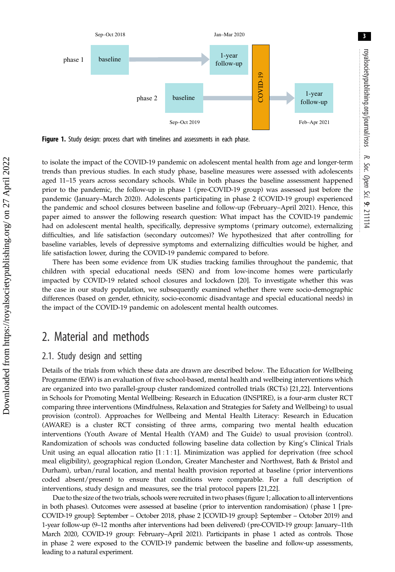<span id="page-2-0"></span>

Figure 1. Study design: process chart with timelines and assessments in each phase.

to isolate the impact of the COVID-19 pandemic on adolescent mental health from age and longer-term trends than previous studies. In each study phase, baseline measures were assessed with adolescents aged 11–15 years across secondary schools. While in both phases the baseline assessment happened prior to the pandemic, the follow-up in phase 1 (pre-COVID-19 group) was assessed just before the pandemic (January–March 2020). Adolescents participating in phase 2 (COVID-19 group) experienced the pandemic and school closures between baseline and follow-up (February–April 2021). Hence, this paper aimed to answer the following research question: What impact has the COVID-19 pandemic had on adolescent mental health, specifically, depressive symptoms (primary outcome), externalizing difficulties, and life satisfaction (secondary outcomes)? We hypothesized that after controlling for baseline variables, levels of depressive symptoms and externalizing difficulties would be higher, and life satisfaction lower, during the COVID-19 pandemic compared to before.

There has been some evidence from UK studies tracking families throughout the pandemic, that children with special educational needs (SEN) and from low-income homes were particularly impacted by COVID-19 related school closures and lockdown [\[20](#page-18-0)]. To investigate whether this was the case in our study population, we subsequently examined whether there were socio-demographic differences (based on gender, ethnicity, socio-economic disadvantage and special educational needs) in the impact of the COVID-19 pandemic on adolescent mental health outcomes.

# 2. Material and methods

# 2.1. Study design and setting

Details of the trials from which these data are drawn are described below. The Education for Wellbeing Programme (EfW) is an evaluation of five school-based, mental health and wellbeing interventions which are organized into two parallel-group cluster randomized controlled trials (RCTs) [\[21,22](#page-18-0)]. Interventions in Schools for Promoting Mental Wellbeing: Research in Education (INSPIRE), is a four-arm cluster RCT comparing three interventions (Mindfulness, Relaxation and Strategies for Safety and Wellbeing) to usual provision (control). Approaches for Wellbeing and Mental Health Literacy: Research in Education (AWARE) is a cluster RCT consisting of three arms, comparing two mental health education interventions (Youth Aware of Mental Health (YAM) and The Guide) to usual provision (control). Randomization of schools was conducted following baseline data collection by King's Clinical Trials Unit using an equal allocation ratio  $[1:1:1]$ . Minimization was applied for deprivation (free school meal eligibility), geographical region (London, Greater Manchester and Northwest, Bath & Bristol and Durham), urban/rural location, and mental health provision reported at baseline (prior interventions coded absent/present) to ensure that conditions were comparable. For a full description of interventions, study design and measures, see the trial protocol papers [\[21](#page-18-0),[22\]](#page-18-0).

Due to the size of the two trials, schools were recruited in two phases (figure 1; allocation to all interventions in both phases). Outcomes were assessed at baseline (prior to intervention randomisation) (phase 1 [pre-COVID-19 group]: September – October 2018, phase 2 [COVID-19 group]: September – October 2019) and 1-year follow-up (9–12 months after interventions had been delivered) (pre-COVID-19 group: January–11th March 2020, COVID-19 group: February–April 2021). Participants in phase 1 acted as controls. Those in phase 2 were exposed to the COVID-19 pandemic between the baseline and follow-up assessments, leading to a natural experiment.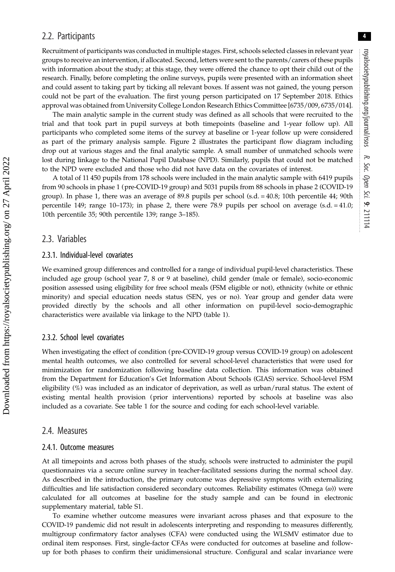4

# 2.2. Participants

Recruitment of participants was conducted in multiple stages. First, schools selected classes in relevant year groups to receive an intervention, if allocated. Second, letters were sent to the parents/carers of these pupils with information about the study; at this stage, they were offered the chance to opt their child out of the research. Finally, before completing the online surveys, pupils were presented with an information sheet and could assent to taking part by ticking all relevant boxes. If assent was not gained, the young person could not be part of the evaluation. The first young person participated on 17 September 2018. Ethics approval was obtained from University College London Research Ethics Committee [6735/009, 6735/014].

The main analytic sample in the current study was defined as all schools that were recruited to the trial and that took part in pupil surveys at both timepoints (baseline and 1-year follow up). All participants who completed some items of the survey at baseline or 1-year follow up were considered as part of the primary analysis sample. [Figure 2](#page-4-0) illustrates the participant flow diagram including drop out at various stages and the final analytic sample. A small number of unmatched schools were lost during linkage to the National Pupil Database (NPD). Similarly, pupils that could not be matched to the NPD were excluded and those who did not have data on the covariates of interest.

A total of 11 450 pupils from 178 schools were included in the main analytic sample with 6419 pupils from 90 schools in phase 1 (pre-COVID-19 group) and 5031 pupils from 88 schools in phase 2 (COVID-19 group). In phase 1, there was an average of 89.8 pupils per school (s.d. = 40.8; 10th percentile 44; 90th percentile 149; range 10–173); in phase 2, there were 78.9 pupils per school on average (s.d. = 41.0; 10th percentile 35; 90th percentile 139; range 3–185).

## 2.3. Variables

#### 2.3.1. Individual-level covariates

We examined group differences and controlled for a range of individual pupil-level characteristics. These included age group (school year 7, 8 or 9 at baseline), child gender (male or female), socio-economic position assessed using eligibility for free school meals (FSM eligible or not), ethnicity (white or ethnic minority) and special education needs status (SEN, yes or no). Year group and gender data were provided directly by the schools and all other information on pupil-level socio-demographic characteristics were available via linkage to the NPD [\(table 1\)](#page-5-0).

#### 2.3.2. School level covariates

When investigating the effect of condition (pre-COVID-19 group versus COVID-19 group) on adolescent mental health outcomes, we also controlled for several school-level characteristics that were used for minimization for randomization following baseline data collection. This information was obtained from the Department for Education's Get Information About Schools (GIAS) service. School-level FSM eligibility (%) was included as an indicator of deprivation, as well as urban/rural status. The extent of existing mental health provision (prior interventions) reported by schools at baseline was also included as a covariate. See [table 1](#page-5-0) for the source and coding for each school-level variable.

# 2.4. Measures

#### 2.4.1. Outcome measures

At all timepoints and across both phases of the study, schools were instructed to administer the pupil questionnaires via a secure online survey in teacher-facilitated sessions during the normal school day. As described in the introduction, the primary outcome was depressive symptoms with externalizing difficulties and life satisfaction considered secondary outcomes. Reliability estimates (Omega (ω)) were calculated for all outcomes at baseline for the study sample and can be found in electronic supplementary material, table S1.

To examine whether outcome measures were invariant across phases and that exposure to the COVID-19 pandemic did not result in adolescents interpreting and responding to measures differently, multigroup confirmatory factor analyses (CFA) were conducted using the WLSMV estimator due to ordinal item responses. First, single-factor CFAs were conducted for outcomes at baseline and followup for both phases to confirm their unidimensional structure. Configural and scalar invariance were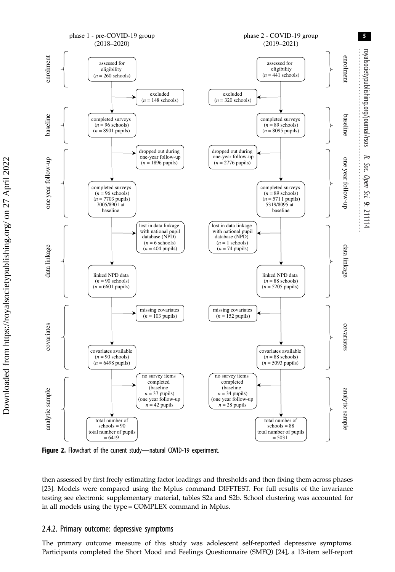<span id="page-4-0"></span>

Figure 2. Flowchart of the current study-natural COVID-19 experiment.

then assessed by first freely estimating factor loadings and thresholds and then fixing them across phases [\[23](#page-18-0)]. Models were compared using the Mplus command DIFFTEST. For full results of the invariance testing see electronic supplementary material, tables S2a and S2b. School clustering was accounted for in all models using the type = COMPLEX command in Mplus.

#### 2.4.2. Primary outcome: depressive symptoms

The primary outcome measure of this study was adolescent self-reported depressive symptoms. Participants completed the Short Mood and Feelings Questionnaire (SMFQ) [[24\]](#page-18-0), a 13-item self-report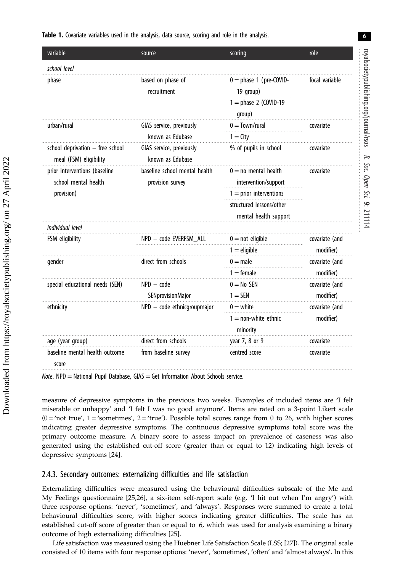#### <span id="page-5-0"></span>Table 1. Covariate variables used in the analysis, data source, scoring and role in the analysis.

| variable                                                   | source                                       | scoring                                           | role           |
|------------------------------------------------------------|----------------------------------------------|---------------------------------------------------|----------------|
| school level                                               |                                              |                                                   |                |
| phase                                                      | based on phase of<br>recruitment             | $0 =$ phase 1 (pre-COVID-<br>19 group)            | focal variable |
|                                                            |                                              | $1 =$ phase 2 (COVID-19<br>group)                 |                |
| urban/rural                                                | GIAS service, previously                     | $0 = Town/rural$                                  | covariate      |
|                                                            | known as Edubase                             | $1 = \mathsf{City}$                               |                |
| school deprivation - free school<br>meal (FSM) eligibility | GIAS service, previously<br>known as Edubase | % of pupils in school                             | covariate      |
| prior interventions (baseline                              | baseline school mental health                | $0 =$ no mental health                            | covariate      |
| school mental health                                       | provision survey                             | intervention/support                              |                |
| provision)                                                 |                                              | $1 = prior$ interventions                         |                |
|                                                            |                                              | structured lessons/other<br>mental health support |                |
| individual level                                           |                                              |                                                   |                |
| FSM eligibility                                            | NPD - code EVERFSM ALL                       | $0 = not$ eligible                                | covariate (and |
|                                                            |                                              | $1 =$ eligible                                    | modifier)      |
| gender                                                     | direct from schools                          | $0 =$ male                                        | covariate (and |
|                                                            |                                              | $1 =$ female                                      | modifier)      |
| special educational needs (SEN)                            | $NPD - code$                                 | $0 = No$ SEN                                      | covariate (and |
|                                                            | SENprovisionMajor                            | $1 =$ SEN                                         | modifier)      |
| ethnicity                                                  | NPD - code ethnicgroupmajor                  | $0 =$ white                                       | covariate (and |
|                                                            |                                              | $1 =$ non-white ethnic<br>minority                | modifier)      |
| age (year group)                                           | direct from schools                          | year 7, 8 or 9                                    | covariate      |
| baseline mental health outcome<br>score                    | from baseline survey                         | centred score                                     | covariate      |

 $Note. NPD = National Pupil Database, GIAS = Get Information About Schools service.$ 

measure of depressive symptoms in the previous two weeks. Examples of included items are 'I felt miserable or unhappy' and 'I felt I was no good anymore'. Items are rated on a 3-point Likert scale  $(0 = 'not true', 1 = 'sometimes', 2 = 'true').$  Possible total scores range from 0 to 26, with higher scores indicating greater depressive symptoms. The continuous depressive symptoms total score was the primary outcome measure. A binary score to assess impact on prevalence of caseness was also generated using the established cut-off score (greater than or equal to 12) indicating high levels of depressive symptoms [\[24](#page-18-0)].

# 2.4.3. Secondary outcomes: externalizing difficulties and life satisfaction

Externalizing difficulties were measured using the behavioural difficulties subscale of the Me and My Feelings questionnaire [\[25](#page-18-0),[26\]](#page-18-0), a six-item self-report scale (e.g. 'I hit out when I'm angry') with three response options: 'never', 'sometimes', and 'always'. Responses were summed to create a total behavioural difficulties score, with higher scores indicating greater difficulties. The scale has an established cut-off score of greater than or equal to 6, which was used for analysis examining a binary outcome of high externalizing difficulties [\[25](#page-18-0)].

Life satisfaction was measured using the Huebner Life Satisfaction Scale (LSS; [[27](#page-18-0)]). The original scale consisted of 10 items with four response options: 'never', 'sometimes', 'often' and 'almost always'. In this royalsocietypublishing.org/journal/rsos

royalsocietypublishing.org/journal/rsos

R.

Soc. Open

Sci.

9: 211114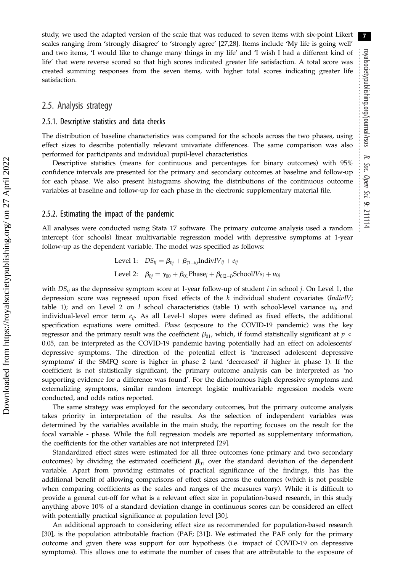study, we used the adapted version of the scale that was reduced to seven items with six-point Likert scales ranging from 'strongly disagree' to 'strongly agree' [\[27,28](#page-18-0)]. Items include 'My life is going well' and two items, 'I would like to change many things in my life' and 'I wish I had a different kind of life' that were reverse scored so that high scores indicated greater life satisfaction. A total score was created summing responses from the seven items, with higher total scores indicating greater life satisfaction.

#### 2.5. Analysis strategy

#### 2.5.1. Descriptive statistics and data checks

The distribution of baseline characteristics was compared for the schools across the two phases, using effect sizes to describe potentially relevant univariate differences. The same comparison was also performed for participants and individual pupil-level characteristics.

Descriptive statistics (means for continuous and percentages for binary outcomes) with 95% confidence intervals are presented for the primary and secondary outcomes at baseline and follow-up for each phase. We also present histograms showing the distributions of the continuous outcome variables at baseline and follow-up for each phase in the electronic supplementary material file.

#### 2.5.2. Estimating the impact of the pandemic

All analyses were conducted using Stata 17 software. The primary outcome analysis used a random intercept (for schools) linear multivariable regression model with depressive symptoms at 1-year follow-up as the dependent variable. The model was specified as follows:

> Level 1:  $DS_{ij} = \beta_{0j} + \beta_{(1-k)}\text{Indiv}IV_{ij} + e_{ij}$ Level 2:  $\beta_{0j} = \gamma_{00} + \beta_{01}$ Phase<sub>j</sub> +  $\beta_{0(2-l)}$ SchoolIVs<sub>j</sub> +  $u_{0j}$

with  $DS_{ii}$  as the depressive symptom score at 1-year follow-up of student i in school j. On Level 1, the depression score was regressed upon fixed effects of the  $k$  individual student covariates (IndivIV; [table 1](#page-5-0)); and on Level 2 on *l* school characteristics [\(table 1](#page-5-0)) with school-level variance  $u_{0i}$  and individual-level error term  $e_{ij}$ . As all Level-1 slopes were defined as fixed effects, the additional specification equations were omitted. Phase (exposure to the COVID-19 pandemic) was the key regressor and the primary result was the coefficient  $\beta_{01}$ , which, if found statistically significant at p < 0.05, can be interpreted as the COVID-19 pandemic having potentially had an effect on adolescents' depressive symptoms. The direction of the potential effect is 'increased adolescent depressive symptoms' if the SMFQ score is higher in phase 2 (and 'decreased' if higher in phase 1). If the coefficient is not statistically significant, the primary outcome analysis can be interpreted as 'no supporting evidence for a difference was found'. For the dichotomous high depressive symptoms and externalizing symptoms, similar random intercept logistic multivariable regression models were conducted, and odds ratios reported.

The same strategy was employed for the secondary outcomes, but the primary outcome analysis takes priority in interpretation of the results. As the selection of independent variables was determined by the variables available in the main study, the reporting focuses on the result for the focal variable - phase. While the full regression models are reported as supplementary information, the coefficients for the other variables are not interpreted [[29\]](#page-18-0).

Standardized effect sizes were estimated for all three outcomes (one primary and two secondary outcomes) by dividing the estimated coefficient  $\beta_{01}$  over the standard deviation of the dependent variable. Apart from providing estimates of practical significance of the findings, this has the additional benefit of allowing comparisons of effect sizes across the outcomes (which is not possible when comparing coefficients as the scales and ranges of the measures vary). While it is difficult to provide a general cut-off for what is a relevant effect size in population-based research, in this study anything above 10% of a standard deviation change in continuous scores can be considered an effect with potentially practical significance at population level [\[30](#page-18-0)].

An additional approach to considering effect size as recommended for population-based research [\[30](#page-18-0)], is the population attributable fraction (PAF; [\[31](#page-18-0)]). We estimated the PAF only for the primary outcome and given there was support for our hypothesis (i.e. impact of COVID-19 on depressive symptoms). This allows one to estimate the number of cases that are attributable to the exposure of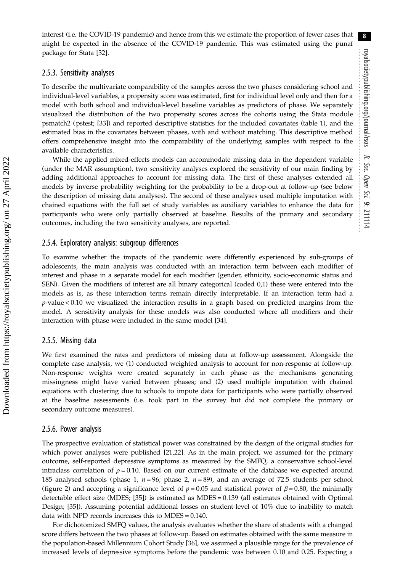8

interest (i.e. the COVID-19 pandemic) and hence from this we estimate the proportion of fewer cases that might be expected in the absence of the COVID-19 pandemic. This was estimated using the punaf package for Stata [\[32](#page-18-0)].

#### 2.5.3. Sensitivity analyses

To describe the multivariate comparability of the samples across the two phases considering school and individual-level variables, a propensity score was estimated, first for individual level only and then for a model with both school and individual-level baseline variables as predictors of phase. We separately visualized the distribution of the two propensity scores across the cohorts using the Stata module psmatch2 (pstest; [\[33](#page-18-0)]) and reported descriptive statistics for the included covariates ([table 1](#page-5-0)), and the estimated bias in the covariates between phases, with and without matching. This descriptive method offers comprehensive insight into the comparability of the underlying samples with respect to the available characteristics.

While the applied mixed-effects models can accommodate missing data in the dependent variable (under the MAR assumption), two sensitivity analyses explored the sensitivity of our main finding by adding additional approaches to account for missing data. The first of these analyses extended all models by inverse probability weighting for the probability to be a drop-out at follow-up (see below the description of missing data analyses). The second of these analyses used multiple imputation with chained equations with the full set of study variables as auxiliary variables to enhance the data for participants who were only partially observed at baseline. Results of the primary and secondary outcomes, including the two sensitivity analyses, are reported.

#### 2.5.4. Exploratory analysis: subgroup differences

To examine whether the impacts of the pandemic were differently experienced by sub-groups of adolescents, the main analysis was conducted with an interaction term between each modifier of interest and phase in a separate model for each modifier (gender, ethnicity, socio-economic status and SEN). Given the modifiers of interest are all binary categorical (coded 0,1) these were entered into the models as is, as these interaction terms remain directly interpretable. If an interaction term had a p-value < 0.10 we visualized the interaction results in a graph based on predicted margins from the model. A sensitivity analysis for these models was also conducted where all modifiers and their interaction with phase were included in the same model [[34\]](#page-18-0).

#### 2.5.5. Missing data

We first examined the rates and predictors of missing data at follow-up assessment. Alongside the complete case analysis, we (1) conducted weighted analysis to account for non-response at follow-up. Non-response weights were created separately in each phase as the mechanisms generating missingness might have varied between phases; and (2) used multiple imputation with chained equations with clustering due to schools to impute data for participants who were partially observed at the baseline assessments (i.e. took part in the survey but did not complete the primary or secondary outcome measures).

#### 2.5.6. Power analysis

The prospective evaluation of statistical power was constrained by the design of the original studies for which power analyses were published [\[21,22](#page-18-0)]. As in the main project, we assumed for the primary outcome, self-reported depressive symptoms as measured by the SMFQ, a conservative school-level intraclass correlation of  $\rho = 0.10$ . Based on our current estimate of the database we expected around 185 analysed schools (phase 1,  $n = 96$ ; phase 2,  $n = 89$ ), and an average of 72.5 students per school [\(figure 2](#page-4-0)) and accepting a significance level of  $p = 0.05$  and statistical power of  $\beta = 0.80$ , the minimally detectable effect size (MDES; [[35\]](#page-18-0)) is estimated as MDES = 0.139 (all estimates obtained with Optimal Design; [[35\]](#page-18-0)). Assuming potential additional losses on student-level of 10% due to inability to match data with NPD records increases this to MDES = 0.140.

For dichotomized SMFQ values, the analysis evaluates whether the share of students with a changed score differs between the two phases at follow-up. Based on estimates obtained with the same measure in the population-based Millennium Cohort Study [[36\]](#page-18-0), we assumed a plausible range for the prevalence of increased levels of depressive symptoms before the pandemic was between 0.10 and 0.25. Expecting a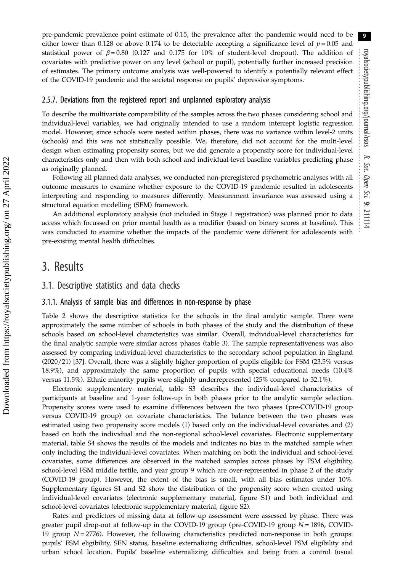pre-pandemic prevalence point estimate of 0.15, the prevalence after the pandemic would need to be either lower than 0.128 or above 0.174 to be detectable accepting a significance level of  $p = 0.05$  and statistical power of  $\beta = 0.80$  (0.127 and 0.175 for 10% of student-level dropout). The addition of covariates with predictive power on any level (school or pupil), potentially further increased precision of estimates. The primary outcome analysis was well-powered to identify a potentially relevant effect of the COVID-19 pandemic and the societal response on pupils' depressive symptoms.

#### 2.5.7. Deviations from the registered report and unplanned exploratory analysis

To describe the multivariate comparability of the samples across the two phases considering school and individual-level variables, we had originally intended to use a random intercept logistic regression model. However, since schools were nested within phases, there was no variance within level-2 units (schools) and this was not statistically possible. We, therefore, did not account for the multi-level design when estimating propensity scores, but we did generate a propensity score for individual-level characteristics only and then with both school and individual-level baseline variables predicting phase as originally planned.

Following all planned data analyses, we conducted non-preregistered psychometric analyses with all outcome measures to examine whether exposure to the COVID-19 pandemic resulted in adolescents interpreting and responding to measures differently. Measurement invariance was assessed using a structural equation modelling (SEM) framework.

An additional exploratory analysis (not included in Stage 1 registration) was planned prior to data access which focussed on prior mental health as a modifier (based on binary scores at baseline). This was conducted to examine whether the impacts of the pandemic were different for adolescents with pre-existing mental health difficulties.

# 3. Results

#### 3.1. Descriptive statistics and data checks

#### 3.1.1. Analysis of sample bias and differences in non-response by phase

[Table 2](#page-9-0) shows the descriptive statistics for the schools in the final analytic sample. There were approximately the same number of schools in both phases of the study and the distribution of these schools based on school-level characteristics was similar. Overall, individual-level characteristics for the final analytic sample were similar across phases [\(table 3](#page-10-0)). The sample representativeness was also assessed by comparing individual-level characteristics to the secondary school population in England (2020/21) [[37\]](#page-18-0). Overall, there was a slightly higher proportion of pupils eligible for FSM (23.5% versus 18.9%), and approximately the same proportion of pupils with special educational needs (10.4% versus 11.5%). Ethnic minority pupils were slightly underrepresented (25% compared to 32.1%).

Electronic supplementary material, table S3 describes the individual-level characteristics of participants at baseline and 1-year follow-up in both phases prior to the analytic sample selection. Propensity scores were used to examine differences between the two phases (pre-COVID-19 group versus COVID-19 group) on covariate characteristics. The balance between the two phases was estimated using two propensity score models (1) based only on the individual-level covariates and (2) based on both the individual and the non-regional school-level covariates. Electronic supplementary material, table S4 shows the results of the models and indicates no bias in the matched sample when only including the individual-level covariates. When matching on both the individual and school-level covariates, some differences are observed in the matched samples across phases by FSM eligibility, school-level FSM middle tertile, and year group 9 which are over-represented in phase 2 of the study (COVID-19 group). However, the extent of the bias is small, with all bias estimates under 10%. Supplementary figures S1 and S2 show the distribution of the propensity score when created using individual-level covariates (electronic supplementary material, figure S1) and both individual and school-level covariates (electronic supplementary material, figure S2).

Rates and predictors of missing data at follow-up assessment were assessed by phase. There was greater pupil drop-out at follow-up in the COVID-19 group (pre-COVID-19 group  $N = 1896$ , COVID-19 group  $N = 2776$ ). However, the following characteristics predicted non-response in both groups: pupils' FSM eligibility, SEN status, baseline externalizing difficulties, school-level FSM eligibility and urban school location. Pupils' baseline externalizing difficulties and being from a control (usual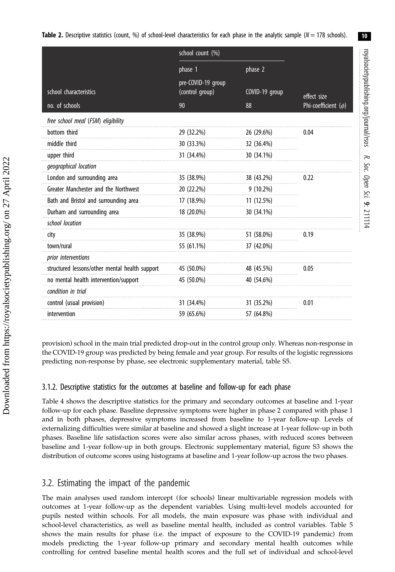<span id="page-9-0"></span>**Table 2.** Descriptive statistics (count, %) of school-level characteristics for each phase in the analytic sample ( $N = 178$  schools).

|                                                | school count (%)                      |                |                          |
|------------------------------------------------|---------------------------------------|----------------|--------------------------|
|                                                | phase 1                               | phase 2        |                          |
| school characteristics                         | pre-COVID-19 group<br>(control group) | COVID-19 group | effect size              |
| no. of schools                                 | 90                                    | 88             | Phi-coefficient $(\phi)$ |
| free school meal (FSM) eligibility             |                                       |                |                          |
| bottom third                                   | 29 (32.2%)                            | 26 (29.6%)     | 0.04                     |
| middle third                                   | 30 (33.3%)                            | 32 (36.4%)     |                          |
| upper third                                    | 31 (34.4%)                            | 30 (34.1%)     |                          |
| geographical location                          |                                       |                |                          |
| London and surrounding area                    | 35 (38.9%)                            | 38 (43.2%)     | 0.22                     |
| Greater Manchester and the Northwest           | 20 (22.2%)                            | $9(10.2\%)$    |                          |
| Bath and Bristol and surrounding area          | 17 (18.9%)                            | 11 (12.5%)     |                          |
| Durham and surrounding area                    | 18 (20.0%)                            | 30 (34.1%)     |                          |
| school location                                |                                       |                |                          |
| city                                           | 35 (38.9%)                            | 51 (58.0%)     | 0.19                     |
| town/rural                                     | 55 (61.1%)                            | 37 (42.0%)     |                          |
| prior interventions                            |                                       |                |                          |
| structured lessons/other mental health support | 45 (50.0%)                            | 48 (45.5%)     | 0.05                     |
| no mental health intervention/support          | 45 (50.0%)                            | 40 (54.6%)     |                          |
| condition in trial                             |                                       |                |                          |
| control (usual provision)                      | 31 (34.4%)                            | 31 (35.2%)     | 0.01                     |
| intervention                                   | 59 (65.6%)                            | 57 (64.8%)     |                          |

provision) school in the main trial predicted drop-out in the control group only. Whereas non-response in the COVID-19 group was predicted by being female and year group. For results of the logistic regressions predicting non-response by phase, see electronic supplementary material, table S5.

### 3.1.2. Descriptive statistics for the outcomes at baseline and follow-up for each phase

[Table 4](#page-11-0) shows the descriptive statistics for the primary and secondary outcomes at baseline and 1-year follow-up for each phase. Baseline depressive symptoms were higher in phase 2 compared with phase 1 and in both phases, depressive symptoms increased from baseline to 1-year follow-up. Levels of externalizing difficulties were similar at baseline and showed a slight increase at 1-year follow-up in both phases. Baseline life satisfaction scores were also similar across phases, with reduced scores between baseline and 1-year follow-up in both groups. Electronic supplementary material, figure S3 shows the distribution of outcome scores using histograms at baseline and 1-year follow-up across the two phases.

# 3.2. Estimating the impact of the pandemic

The main analyses used random intercept (for schools) linear multivariable regression models with outcomes at 1-year follow-up as the dependent variables. Using multi-level models accounted for pupils nested within schools. For all models, the main exposure was phase with individual and school-level characteristics, as well as baseline mental health, included as control variables. [Table 5](#page-13-0) shows the main results for phase (i.e. the impact of exposure to the COVID-19 pandemic) from models predicting the 1-year follow-up primary and secondary mental health outcomes while controlling for centred baseline mental health scores and the full set of individual and school-level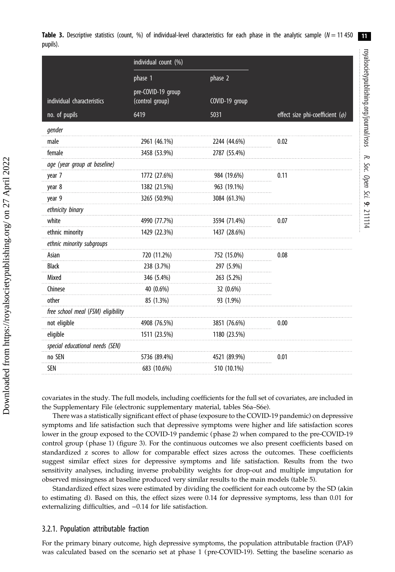<span id="page-10-0"></span>

|          |  |  | Table 3. Descriptive statistics (count, %) of individual-level characteristics for each phase in the analytic sample ( $N = 11450$ |  |  |  |  |  |  |
|----------|--|--|------------------------------------------------------------------------------------------------------------------------------------|--|--|--|--|--|--|
| pupils). |  |  |                                                                                                                                    |  |  |  |  |  |  |

royalsocietypublishing.org/journal/rsos

royalsocietypublishing.org/journal/rsos

R.

Soc. Open

Sci.

9: 211114

|                                    | individual count (%)                  |                |                                      |
|------------------------------------|---------------------------------------|----------------|--------------------------------------|
|                                    | phase 1                               | phase 2        |                                      |
| individual characteristics         | pre-COVID-19 group<br>(control group) | COVID-19 group |                                      |
| no. of pupils                      | 6419                                  | 5031           | effect size phi-coefficient $(\phi)$ |
| gender                             |                                       |                |                                      |
| male                               | 2961 (46.1%)                          | 2244 (44.6%)   | 0.02                                 |
| female                             | 3458 (53.9%)                          | 2787 (55.4%)   |                                      |
| age (year group at baseline)       |                                       |                |                                      |
| year 7                             | 1772 (27.6%)                          | 984 (19.6%)    | 0.11                                 |
| year 8                             | 1382 (21.5%)                          | 963 (19.1%)    |                                      |
| year 9                             | 3265 (50.9%)                          | 3084 (61.3%)   |                                      |
| ethnicity binary                   |                                       |                |                                      |
| white                              | 4990 (77.7%)                          | 3594 (71.4%)   | 0.07                                 |
| ethnic minority                    | 1429 (22.3%)                          | 1437 (28.6%)   |                                      |
| ethnic minority subgroups          |                                       |                |                                      |
| Asian                              | 720 (11.2%)                           | 752 (15.0%)    | 0.08                                 |
| <b>Black</b>                       | 238 (3.7%)                            | 297 (5.9%)     |                                      |
| Mixed                              | 346 (5.4%)                            | 263 (5.2%)     |                                      |
| Chinese                            | 40 (0.6%)                             | 32 (0.6%)      |                                      |
| other                              | 85 (1.3%)                             | 93 (1.9%)      |                                      |
| free school meal (FSM) eligibility |                                       |                |                                      |
| not eligible                       | 4908 (76.5%)                          | 3851 (76.6%)   | 0.00                                 |
| eligible                           | 1511 (23.5%)                          | 1180 (23.5%)   |                                      |
| special educational needs (SEN)    |                                       |                |                                      |
| no SEN                             | 5736 (89.4%)                          | 4521 (89.9%)   | 0.01                                 |
| SEN                                | 683 (10.6%)                           | 510 (10.1%)    |                                      |

covariates in the study. The full models, including coefficients for the full set of covariates, are included in the Supplementary File (electronic supplementary material, tables S6a–S6e).

There was a statistically significant effect of phase (exposure to the COVID-19 pandemic) on depressive symptoms and life satisfaction such that depressive symptoms were higher and life satisfaction scores lower in the group exposed to the COVID-19 pandemic (phase 2) when compared to the pre-COVID-19 control group (phase 1) [\(figure 3\)](#page-12-0). For the continuous outcomes we also present coefficients based on standardized z scores to allow for comparable effect sizes across the outcomes. These coefficients suggest similar effect sizes for depressive symptoms and life satisfaction. Results from the two sensitivity analyses, including inverse probability weights for drop-out and multiple imputation for observed missingness at baseline produced very similar results to the main models ([table 5\)](#page-13-0).

Standardized effect sizes were estimated by dividing the coefficient for each outcome by the SD (akin to estimating d). Based on this, the effect sizes were 0.14 for depressive symptoms, less than 0.01 for externalizing difficulties, and −0.14 for life satisfaction.

#### 3.2.1. Population attributable fraction

For the primary binary outcome, high depressive symptoms, the population attributable fraction (PAF) was calculated based on the scenario set at phase 1 (pre-COVID-19). Setting the baseline scenario as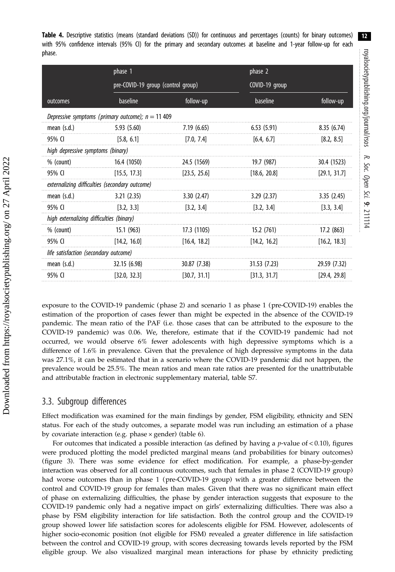<span id="page-11-0"></span>Table 4. Descriptive statistics (means (standard deviations (SD)) for continuous and percentages (counts) for binary outcomes) with 95% confidence intervals (95% CI) for the primary and secondary outcomes at baseline and 1-year follow-up for each phase.

|                                          | phase 1                                            |              | phase 2        |              |
|------------------------------------------|----------------------------------------------------|--------------|----------------|--------------|
|                                          | pre-COVID-19 group (control group)                 |              | COVID-19 group |              |
| outcomes                                 | baseline                                           | follow-up    | baseline       | follow-up    |
|                                          | Depressive symptoms (primary outcome); $n = 11409$ |              |                |              |
| mean $(s.d.)$                            | 5.93(5.60)                                         | 7.19(6.65)   | 6.53(5.91)     | 8.35(6.74)   |
| 95% CI                                   | [5.8, 6.1]                                         | [7.0, 7.4]   | [6.4, 6.7]     | [8.2, 8.5]   |
| high depressive symptoms (binary)        |                                                    |              |                |              |
| $%$ (count)                              | 16.4 (1050)                                        | 24.5 (1569)  | 19.7 (987)     | 30.4 (1523)  |
| 95% CI                                   | [15.5, 17.3]                                       | [23.5, 25.6] | [18.6, 20.8]   | [29.1, 31.7] |
|                                          | externalizing difficulties (secondary outcome)     |              |                |              |
| mean $(s.d.)$                            | 3.21(2.35)                                         | 3.30(2.47)   | 3.29(2.37)     | 3.35(2.45)   |
| 95% CI                                   | [3.2, 3.3]                                         | [3.2, 3.4]   | [3.2, 3.4]     | [3.3, 3.4]   |
| high externalizing difficulties (binary) |                                                    |              |                |              |
| $%$ (count)                              | 15.1(963)                                          | 17.3 (1105)  | 15.2 (761)     | 17.2 (863)   |
| 95% CI                                   | [14.2, 16.0]                                       | [16.4, 18.2] | [14.2, 16.2]   | [16.2, 18.3] |
| life satisfaction (secondary outcome)    |                                                    |              |                |              |
| mean $(s.d.)$                            | 32.15 (6.98)                                       | 30.87 (7.38) | 31.53 (7.23)   | 29.59 (7.32) |
| 95% CI                                   | [32.0, 32.3]                                       | [30.7, 31.1] | [31.3, 31.7]   | [29.4, 29.8] |

exposure to the COVID-19 pandemic (phase 2) and scenario 1 as phase 1 (pre-COVID-19) enables the estimation of the proportion of cases fewer than might be expected in the absence of the COVID-19 pandemic. The mean ratio of the PAF (i.e. those cases that can be attributed to the exposure to the COVID-19 pandemic) was 0.06. We, therefore, estimate that if the COVID-19 pandemic had not occurred, we would observe 6% fewer adolescents with high depressive symptoms which is a difference of 1.6% in prevalence. Given that the prevalence of high depressive symptoms in the data was 27.1%, it can be estimated that in a scenario where the COVID-19 pandemic did not happen, the prevalence would be 25.5%. The mean ratios and mean rate ratios are presented for the unattributable and attributable fraction in electronic supplementary material, table S7.

# 3.3. Subgroup differences

Effect modification was examined for the main findings by gender, FSM eligibility, ethnicity and SEN status. For each of the study outcomes, a separate model was run including an estimation of a phase by covariate interaction (e.g. phase × gender) ([table 6](#page-14-0)).

For outcomes that indicated a possible interaction (as defined by having a *p*-value of  $< 0.10$ ), figures were produced plotting the model predicted marginal means (and probabilities for binary outcomes) [\(figure 3](#page-12-0)). There was some evidence for effect modification. For example, a phase-by-gender interaction was observed for all continuous outcomes, such that females in phase 2 (COVID-19 group) had worse outcomes than in phase 1 (pre-COVID-19 group) with a greater difference between the control and COVID-19 group for females than males. Given that there was no significant main effect of phase on externalizing difficulties, the phase by gender interaction suggests that exposure to the COVID-19 pandemic only had a negative impact on girls' externalizing difficulties. There was also a phase by FSM eligibility interaction for life satisfaction. Both the control group and the COVID-19 group showed lower life satisfaction scores for adolescents eligible for FSM. However, adolescents of higher socio-economic position (not eligible for FSM) revealed a greater difference in life satisfaction between the control and COVID-19 group, with scores decreasing towards levels reported by the FSM eligible group. We also visualized marginal mean interactions for phase by ethnicity predicting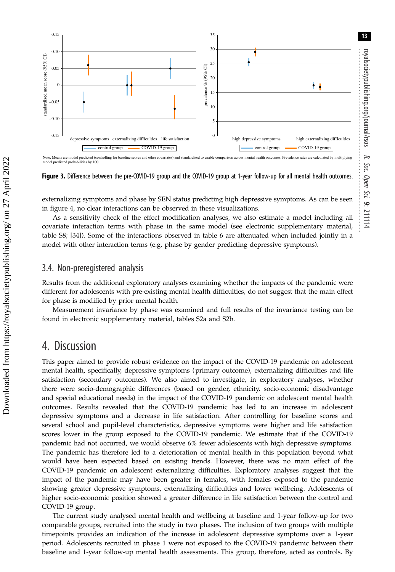<span id="page-12-0"></span>

Note. Means are model predicted (controlling for baseline scores and other covariates) and standardised to enable comparison across mental health outcomes. Prevalence rates are calculated by multiplying<br>model predicted pro

Figure 3. Difference between the pre-COVID-19 group and the COVID-19 group at 1-year follow-up for all mental health outcomes.

externalizing symptoms and phase by SEN status predicting high depressive symptoms. As can be seen in [figure 4,](#page-15-0) no clear interactions can be observed in these visualizations.

As a sensitivity check of the effect modification analyses, we also estimate a model including all covariate interaction terms with phase in the same model (see electronic supplementary material, table S8; [[34\]](#page-18-0)). Some of the interactions observed in [table 6](#page-14-0) are attenuated when included jointly in a model with other interaction terms (e.g. phase by gender predicting depressive symptoms).

# 3.4. Non-preregistered analysis

Results from the additional exploratory analyses examining whether the impacts of the pandemic were different for adolescents with pre-existing mental health difficulties, do not suggest that the main effect for phase is modified by prior mental health.

Measurement invariance by phase was examined and full results of the invariance testing can be found in electronic supplementary material, tables S2a and S2b.

# 4. Discussion

This paper aimed to provide robust evidence on the impact of the COVID-19 pandemic on adolescent mental health, specifically, depressive symptoms (primary outcome), externalizing difficulties and life satisfaction (secondary outcomes). We also aimed to investigate, in exploratory analyses, whether there were socio-demographic differences (based on gender, ethnicity, socio-economic disadvantage and special educational needs) in the impact of the COVID-19 pandemic on adolescent mental health outcomes. Results revealed that the COVID-19 pandemic has led to an increase in adolescent depressive symptoms and a decrease in life satisfaction. After controlling for baseline scores and several school and pupil-level characteristics, depressive symptoms were higher and life satisfaction scores lower in the group exposed to the COVID-19 pandemic. We estimate that if the COVID-19 pandemic had not occurred, we would observe 6% fewer adolescents with high depressive symptoms. The pandemic has therefore led to a deterioration of mental health in this population beyond what would have been expected based on existing trends. However, there was no main effect of the COVID-19 pandemic on adolescent externalizing difficulties. Exploratory analyses suggest that the impact of the pandemic may have been greater in females, with females exposed to the pandemic showing greater depressive symptoms, externalizing difficulties and lower wellbeing. Adolescents of higher socio-economic position showed a greater difference in life satisfaction between the control and COVID-19 group.

The current study analysed mental health and wellbeing at baseline and 1-year follow-up for two comparable groups, recruited into the study in two phases. The inclusion of two groups with multiple timepoints provides an indication of the increase in adolescent depressive symptoms over a 1-year period. Adolescents recruited in phase 1 were not exposed to the COVID-19 pandemic between their baseline and 1-year follow-up mental health assessments. This group, therefore, acted as controls. By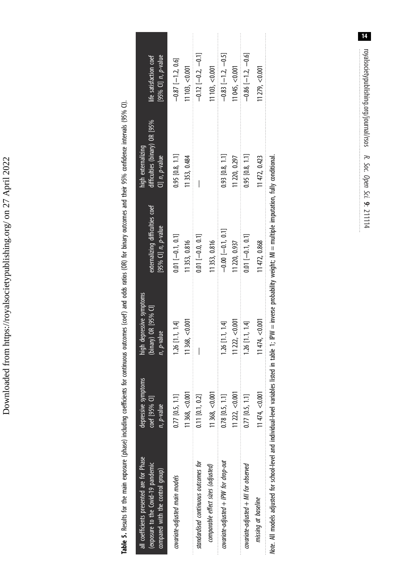Downloaded from https://royalsocietypublishing.org/ on 27 April 2022 Downloaded from https://royalsocietypublishing.org/ on 27 April 2022

<span id="page-13-0"></span>

| all coefficients presented are for Phase<br>(exposure to the Covid-19 pandemic<br>compared with the control group)                                                         | depressive symptoms<br>coef [95% C]]<br>$n, p$ -value | high depressive symptoms<br>(binary) OR [95% CI]<br>n, p-value | externalizing difficulties coef<br>[95% CI] $n$ , $p$ -value | difficulties (binary) OR [95%<br>high externalizing<br>CI] $n$ , $p$ -value | life satisfaction coef<br>[95% $Q$ ] $n$ , $p$ -value |
|----------------------------------------------------------------------------------------------------------------------------------------------------------------------------|-------------------------------------------------------|----------------------------------------------------------------|--------------------------------------------------------------|-----------------------------------------------------------------------------|-------------------------------------------------------|
| covariate-adjusted main models                                                                                                                                             | $0.77$ $[0.5, 1.1]$                                   | $1.26$ $[1.1, 1.4]$                                            | $0.01$ $[-0.1, 0.1]$                                         | $0.95$ $[0.8, 1.1]$                                                         | $-0.87$ [-1.2, 0.6]                                   |
|                                                                                                                                                                            | $11\,368$ , $<$ 0.001                                 | 11368, < 0.001                                                 | 1353, 0.816                                                  | 11353, 0.484                                                                | $11103$ , < $0.001$                                   |
| standardised continuous outcomes for                                                                                                                                       | $0.11$ $[0.1, 0.2]$                                   |                                                                | $0.01$ [-0.0, 0.1]                                           |                                                                             | $-0.12[-0.2, -0.1]$                                   |
| comparable effect sizes (adjusted)                                                                                                                                         | 11368, < 0.00                                         |                                                                | 1353, 0.816                                                  |                                                                             | $11103$ , < $0.001$                                   |
| covariate-adjusted + IPW for drop-out                                                                                                                                      | $0.78$ $[0.5, 1.1]$                                   | $1.26$ $[1.1, 1.4]$                                            | $-0.00$ $[-0.1, 0.1]$                                        | $0.93$ [0.8, 1.1]                                                           | $-0.83$ [-1.2, -0.5]                                  |
|                                                                                                                                                                            | 1222  < 0.001                                         | 11 222, < 0.001                                                | 1220, 0.937                                                  | 11 220, 0.297                                                               | 1045, < 0.001                                         |
| covariate-adjusted + MI for observed                                                                                                                                       | $0.77$ [0.5, 1.1]                                     | $1.26$ $[1.1, 1.4]$                                            | $0.01$ [-0.1, 0.1]                                           | $0.95$ [0.8, 1.1]                                                           | $-0.86$ [ $-1.2$ , $-0.6$ ]                           |
| missing at baseline                                                                                                                                                        | $11474, -0.001$                                       | 11474, < 0.001                                                 | 11472, 0.868                                                 | 11 472, 0.423                                                               | 1279, < 0.001                                         |
| Note. All models adjusted for school-level and individual-level variables listed in table 1; IPW = inverse probability weight; MI = multiple imputation, fully conditional |                                                       |                                                                |                                                              |                                                                             |                                                       |

Table 5. Results for the main exposure (phase) including coefficients for continuous outcomes (coef) and odds ratios (OR) for binary outcomes and their 95% confidence intervals (95% CI).

Table 5. Results for the main exposure (phase) induding coefficients for continuous outcomes (coef) and odds ratios (OR) for binary outcomes and their 95% confidence intervals (95% CI).

royalsocietypublishing.org/journal/rsos 14

R.

Soc. Open

Sci.

9: 211114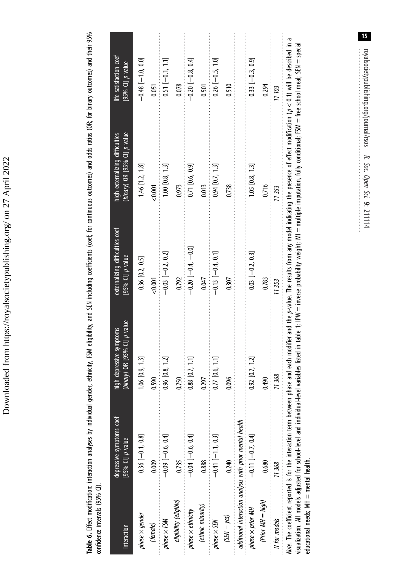| $\frac{1}{2}$<br> <br> <br> <br>$\vdots$<br>i<br>Ĺ<br>I |
|---------------------------------------------------------|
| Ş                                                       |
| him run cin cin                                         |
| ֚֕                                                      |
|                                                         |
| ١<br>1                                                  |
| ֕                                                       |
| I                                                       |
|                                                         |
|                                                         |
| ļ<br>١                                                  |

<span id="page-14-0"></span>Table 6. Effect modification: interaction analyses by individual gender, ethnicity, FSM eligibility, and SEN including coefficients (coef; for continuous outcomes) and odds ratios (OR; for binary outcomes) and their 95% Table 6. Effect modification: interaction analyses by individual gender, ethnicity, FSM eligibility, and SEN including coefficients (coef; for continuous outcomes) and odds ratios (OR; for binary outcomes) and their 95% confidence intervals (95% CI). confidence intervals (95% CI).

| interaction                            | depressive symptoms coef<br>[95% $CI$ ] $p$ -value                              | $(95\%$ CI] $p$ -value<br>high depressive symptoms<br>(binary) | externalizing difficulties coef<br>[95% CI] $p$ -value | (binary) OR [95% CI] p-value<br>high externalizing difficulties                                                                                                                                                                                                                                                                                                            | life satisfaction coef<br>[95% CI] $p$ -value |
|----------------------------------------|---------------------------------------------------------------------------------|----------------------------------------------------------------|--------------------------------------------------------|----------------------------------------------------------------------------------------------------------------------------------------------------------------------------------------------------------------------------------------------------------------------------------------------------------------------------------------------------------------------------|-----------------------------------------------|
| $phase \times gender$                  | $0.36[-0.1, 0.8]$                                                               | $\left[ 9, 13 \right]$<br>$1.06$ [0.                           | $0.36$ $[0.2, 0.5]$                                    | $1.46$ [1.2, 1.8]                                                                                                                                                                                                                                                                                                                                                          | $-0.48$ $[-1.0, 0.0]$                         |
| (female)                               | 0.009                                                                           | 0.590                                                          | < 0.001                                                | &0.001                                                                                                                                                                                                                                                                                                                                                                     | 0.051                                         |
| $phase \times FM$                      | $-0.09$ $-0.6$ , $-1$                                                           | $0.96$ [0.8, 1.2]                                              | $-0.03$ $[-0.2, 0.2]$                                  | $1.00$ $[0.8, 1.3]$                                                                                                                                                                                                                                                                                                                                                        | $0.51[-0.1, 1.1]$                             |
| eligibility (eligible)                 | 0.735                                                                           | 0.750                                                          | 0.792                                                  | 0.973                                                                                                                                                                                                                                                                                                                                                                      | 0.078                                         |
| $phase \times ethnicity$               | $-0.04$ $-0.6$ , $0.1$                                                          | $0.88$ [0.7, 1.1]                                              | [010 – 1410—1101]                                      | $0.71$ $[0.6, 0.9]$                                                                                                                                                                                                                                                                                                                                                        | $-0.20 - 0.8$ , 0.1                           |
| (ethnic minority)                      | 0.888                                                                           | 0.297                                                          | 0.047                                                  | 0.013                                                                                                                                                                                                                                                                                                                                                                      | 0.501                                         |
| $phase \times$ SEN                     | $-0.41$ [-11, 0.3]                                                              | 0.77 [0.6, 1.1]                                                | $-0.13$ $-0.4$ , 0.1                                   | $0.94$ $[0.7, 1.3]$                                                                                                                                                                                                                                                                                                                                                        | $0.26[-0.5, 1.0]$                             |
| $(SEN - yes)$                          | 0.240                                                                           | 0.096                                                          | 0.307                                                  | 0.738                                                                                                                                                                                                                                                                                                                                                                      | 0.510                                         |
|                                        | additional interaction analysis with prior mental health                        |                                                                |                                                        |                                                                                                                                                                                                                                                                                                                                                                            |                                               |
| $p$ hase $\times$ prior MH             | $-0.11$ [-0.7, 0.4]                                                             | $0.92$ $[0.7, 1.2]$                                            | $0.03$ [-0.2, 0.3]                                     | 1.05 [0.8, 1.3]                                                                                                                                                                                                                                                                                                                                                            | $0.33[-0.3, 0.9]$                             |
| (Prior MH = high)                      | 0.680                                                                           | 0.490                                                          | 0.783                                                  | 0.716                                                                                                                                                                                                                                                                                                                                                                      | 0.294                                         |
| N for models                           | 11368                                                                           | 11368                                                          | 11353                                                  | 11353                                                                                                                                                                                                                                                                                                                                                                      | 11 103                                        |
| educational needs; MH = mental health. | visualization. All models adjusted for school-level and individual-level variab |                                                                |                                                        | Note. The coefficient reported is for the interaction term between phase and each modifier and the p-value. The results from any model indicating the presence of effect modification ( $p < 0.1$ ) will be described in a<br>oles listed in table 1; IPW = inverse probability weight; MI = multiple imputation, fully conditional; FSM = free school meal; SEN = special |                                               |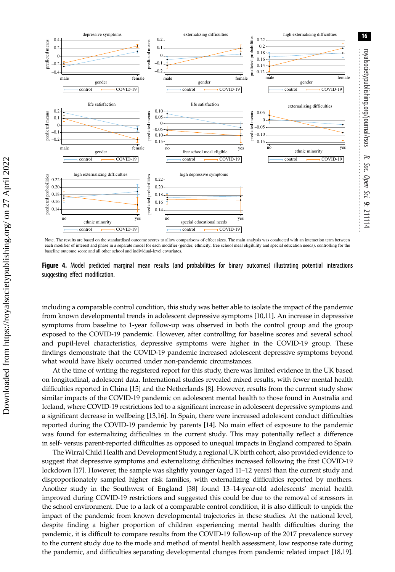<span id="page-15-0"></span>

Note. The results are based on the standardised outcome scores to allow comparisons of effect sizes. The main analysis was conducted with an interaction term between each modifier of interest and phase in a separate model for each modifier (gender, ethnicity, free school meal eligibility and special education needs), controlling for the baseline outcome score and all other school and individual-level covariates.

Figure 4. Model predicted marginal mean results (and probabilities for binary outcomes) illustrating potential interactions suggesting effect modification.

including a comparable control condition, this study was better able to isolate the impact of the pandemic from known developmental trends in adolescent depressive symptoms [\[10,11\]](#page-17-0). An increase in depressive symptoms from baseline to 1-year follow-up was observed in both the control group and the group exposed to the COVID-19 pandemic. However, after controlling for baseline scores and several school and pupil-level characteristics, depressive symptoms were higher in the COVID-19 group. These findings demonstrate that the COVID-19 pandemic increased adolescent depressive symptoms beyond what would have likely occurred under non-pandemic circumstances.

At the time of writing the registered report for this study, there was limited evidence in the UK based on longitudinal, adolescent data. International studies revealed mixed results, with fewer mental health difficulties reported in China [\[15](#page-17-0)] and the Netherlands [\[8\]](#page-17-0). However, results from the current study show similar impacts of the COVID-19 pandemic on adolescent mental health to those found in Australia and Iceland, where COVID-19 restrictions led to a significant increase in adolescent depressive symptoms and a significant decrease in wellbeing [[13,16](#page-17-0)]. In Spain, there were increased adolescent conduct difficulties reported during the COVID-19 pandemic by parents [\[14](#page-17-0)]. No main effect of exposure to the pandemic was found for externalizing difficulties in the current study. This may potentially reflect a difference in self- versus parent-reported difficulties as opposed to unequal impacts in England compared to Spain.

The Wirral Child Health and Development Study, a regional UK birth cohort, also provided evidence to suggest that depressive symptoms and externalizing difficulties increased following the first COVID-19 lockdown [[17\]](#page-18-0). However, the sample was slightly younger (aged 11–12 years) than the current study and disproportionately sampled higher risk families, with externalizing difficulties reported by mothers. Another study in the Southwest of England [\[38](#page-18-0)] found 13–14-year-old adolescents' mental health improved during COVID-19 restrictions and suggested this could be due to the removal of stressors in the school environment. Due to a lack of a comparable control condition, it is also difficult to unpick the impact of the pandemic from known developmental trajectories in these studies. At the national level, despite finding a higher proportion of children experiencing mental health difficulties during the pandemic, it is difficult to compare results from the COVID-19 follow-up of the 2017 prevalence survey to the current study due to the mode and method of mental health assessment, low response rate during the pandemic, and difficulties separating developmental changes from pandemic related impact [\[18,19](#page-18-0)].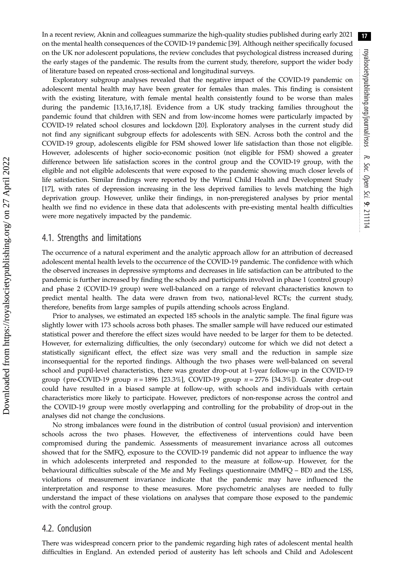In a recent review, Aknin and colleagues summarize the high-quality studies published during early 2021 on the mental health consequences of the COVID-19 pandemic [[39\]](#page-18-0). Although neither specifically focused on the UK nor adolescent populations, the review concludes that psychological distress increased during the early stages of the pandemic. The results from the current study, therefore, support the wider body of literature based on repeated cross-sectional and longitudinal surveys.

Exploratory subgroup analyses revealed that the negative impact of the COVID-19 pandemic on adolescent mental health may have been greater for females than males. This finding is consistent with the existing literature, with female mental health consistently found to be worse than males during the pandemic [\[13](#page-17-0),[16,](#page-17-0)[17,18](#page-18-0)]. Evidence from a UK study tracking families throughout the pandemic found that children with SEN and from low-income homes were particularly impacted by COVID-19 related school closures and lockdown [\[20](#page-18-0)]. Exploratory analyses in the current study did not find any significant subgroup effects for adolescents with SEN. Across both the control and the COVID-19 group, adolescents eligible for FSM showed lower life satisfaction than those not eligible. However, adolescents of higher socio-economic position (not eligible for FSM) showed a greater difference between life satisfaction scores in the control group and the COVID-19 group, with the eligible and not eligible adolescents that were exposed to the pandemic showing much closer levels of life satisfaction. Similar findings were reported by the Wirral Child Health and Development Study [\[17](#page-18-0)], with rates of depression increasing in the less deprived families to levels matching the high deprivation group. However, unlike their findings, in non-preregistered analyses by prior mental health we find no evidence in these data that adolescents with pre-existing mental health difficulties were more negatively impacted by the pandemic.

### 4.1. Strengths and limitations

The occurrence of a natural experiment and the analytic approach allow for an attribution of decreased adolescent mental health levels to the occurrence of the COVID-19 pandemic. The confidence with which the observed increases in depressive symptoms and decreases in life satisfaction can be attributed to the pandemic is further increased by finding the schools and participants involved in phase 1 (control group) and phase 2 (COVID-19 group) were well-balanced on a range of relevant characteristics known to predict mental health. The data were drawn from two, national-level RCTs; the current study, therefore, benefits from large samples of pupils attending schools across England.

Prior to analyses, we estimated an expected 185 schools in the analytic sample. The final figure was slightly lower with 173 schools across both phases. The smaller sample will have reduced our estimated statistical power and therefore the effect sizes would have needed to be larger for them to be detected. However, for externalizing difficulties, the only (secondary) outcome for which we did not detect a statistically significant effect, the effect size was very small and the reduction in sample size inconsequential for the reported findings. Although the two phases were well-balanced on several school and pupil-level characteristics, there was greater drop-out at 1-year follow-up in the COVID-19 group (pre-COVID-19 group  $n = 1896$  [23.3%], COVID-19 group  $n = 2776$  [34.3%]). Greater drop-out could have resulted in a biased sample at follow-up, with schools and individuals with certain characteristics more likely to participate. However, predictors of non-response across the control and the COVID-19 group were mostly overlapping and controlling for the probability of drop-out in the analyses did not change the conclusions.

No strong imbalances were found in the distribution of control (usual provision) and intervention schools across the two phases. However, the effectiveness of interventions could have been compromised during the pandemic. Assessments of measurement invariance across all outcomes showed that for the SMFQ, exposure to the COVID-19 pandemic did not appear to influence the way in which adolescents interpreted and responded to the measure at follow-up. However, for the behavioural difficulties subscale of the Me and My Feelings questionnaire (MMFQ – BD) and the LSS, violations of measurement invariance indicate that the pandemic may have influenced the interpretation and response to these measures. More psychometric analyses are needed to fully understand the impact of these violations on analyses that compare those exposed to the pandemic with the control group.

### 4.2. Conclusion

There was widespread concern prior to the pandemic regarding high rates of adolescent mental health difficulties in England. An extended period of austerity has left schools and Child and Adolescent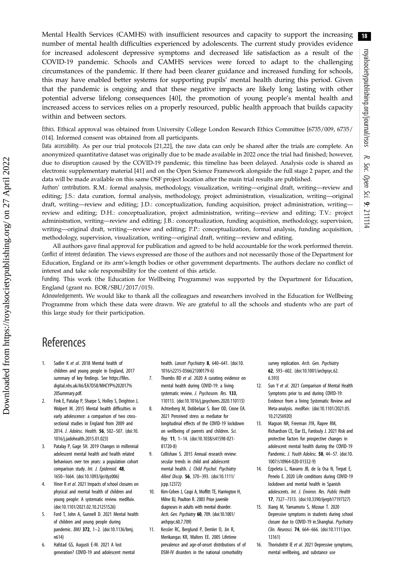<span id="page-17-0"></span>Mental Health Services (CAMHS) with insufficient resources and capacity to support the increasing number of mental health difficulties experienced by adolescents. The current study provides evidence for increased adolescent depressive symptoms and decreased life satisfaction as a result of the COVID-19 pandemic. Schools and CAMHS services were forced to adapt to the challenging circumstances of the pandemic. If there had been clearer guidance and increased funding for schools, this may have enabled better systems for supporting pupils' mental health during this period. Given that the pandemic is ongoing and that these negative impacts are likely long lasting with other potential adverse lifelong consequences [[40\]](#page-18-0), the promotion of young people's mental health and increased access to services relies on a properly resourced, public health approach that builds capacity within and between sectors.

Ethics. Ethical approval was obtained from University College London Research Ethics Committee [6735/009, 6735/ 014]. Informed consent was obtained from all participants.

Data accessibility. As per our trial protocols [\[21,22](#page-18-0)], the raw data can only be shared after the trials are complete. An anonymized quantitative dataset was originally due to be made available in 2022 once the trial had finished; however, due to disruption caused by the COVID-19 pandemic, this timeline has been delayed. Analysis code is shared as electronic supplementary material [\[41](#page-18-0)] and on the Open Science Framework alongside the full stage 2 paper, and the data will be made available on this same OSF project location after the main trial results are published.

Authors' contributions. R.M.: formal analysis, methodology, visualization, writing—original draft, writing—review and editing; J.S.: data curation, formal analysis, methodology, project administration, visualization, writing—original draft, writing—review and editing; J.D.: conceptualization, funding acquisition, project administration, writing review and editing; D.H.: conceptualization, project administration, writing—review and editing; T.V.: project administration, writing—review and editing; J.B.: conceptualization, funding acquisition, methodology, supervision, writing—original draft, writing—review and editing; P.P.: conceptualization, formal analysis, funding acquisition, methodology, supervision, visualization, writing—original draft, writing—review and editing.

All authors gave final approval for publication and agreed to be held accountable for the work performed therein. Conflict of interest declaration. The views expressed are those of the authors and not necessarily those of the Department for Education, England or its arm's-length bodies or other government departments. The authors declare no conflict of interest and take sole responsibility for the content of this article.

Funding. This work (the Education for Wellbeing Programme) was supported by the Department for Education, England (grant no. EOR/SBU/2017/015).

Acknowledgements. We would like to thank all the colleagues and researchers involved in the Education for Wellbeing Programme from which these data were drawn. We are grateful to all the schools and students who are part of this large study for their participation.

# References

- 1. Sadler K et al. 2018 Mental health of children and young people in England, 2017 summary of key findings. See [https://files.](https://files.digital.nhs.uk/A6/EA7D58/MHCYP%202017%20Summary.pdf) [digital.nhs.uk/A6/EA7D58/MHCYP%202017%](https://files.digital.nhs.uk/A6/EA7D58/MHCYP%202017%20Summary.pdf) [20Summary.pdf](https://files.digital.nhs.uk/A6/EA7D58/MHCYP%202017%20Summary.pdf).
- 2. Fink E, Patalay P, Sharpe S, Holley S, Deighton J, Wolpert M. 2015 Mental health difficulties in early adolescence: a comparison of two crosssectional studies in England from 2009 and 2014. J. Adolesc. Health. 56, 502–507. [\(doi:10.](http://dx.doi.org/10.1016/j.jadohealth.2015.01.023) [1016/j.jadohealth.2015.01.023](http://dx.doi.org/10.1016/j.jadohealth.2015.01.023))
- 3. Patalay P, Gage SH. 2019 Changes in millennial adolescent mental health and health related behaviours over ten years: a population cohort comparison study. Int. J. Epidemiol. 48, 1650–1664. [\(doi:10.1093/ije/dyz006\)](http://dx.doi.org/10.1093/ije/dyz006)
- 4. Viner R et al. 2021 Impacts of school closures on physical and mental health of children and young people: A systematic review. medRxiv. ([doi:10.1101/2021.02.10.21251526](https://doi.org/10.1101/2021.02.10.21251526))
- 5. Ford T, John A, Gunnell D. 2021 Mental health of children and young people during pandemic. BMJ 372, 1–2. ([doi:10.1136/bmj.](http://dx.doi.org/10.1136/bmj.n614) [n614](http://dx.doi.org/10.1136/bmj.n614))
- 6. Hafstad GS, Augusti E-M. 2021 A lost generation? COVID-19 and adolescent mental

health. Lancet Psychiatry 8, 640-641. ([doi:10.](http://dx.doi.org/10.1016/s2215-0366(21)00179-6) [1016/s2215-0366\(21\)00179-6](http://dx.doi.org/10.1016/s2215-0366(21)00179-6))

- 7. Thombs BD et al. 2020 A curating evidence on mental health during COVID-19: a living systematic review. J. Psychosom. Res. 133, 110113. ([doi:10.1016/j.jpsychores.2020.110113](http://dx.doi.org/10.1016/j.jpsychores.2020.110113))
- 8. Achterberg M, Dobbelaar S, Boer OD, Crone EA. 2021 Perceived stress as mediator for longitudinal effects of the COVID-19 lockdown on wellbeing of parents and children. Sci. Rep. 11, 1–14. ([doi:10.1038/s41598-021-](http://dx.doi.org/10.1038/s41598-021-81720-8) [81720-8\)](http://dx.doi.org/10.1038/s41598-021-81720-8)
- 9. Collishaw S. 2015 Annual research review: secular trends in child and adolescent mental health. J. Child Psychol. Psychiatry Allied Discip. 56, 370–393. [\(doi:10.1111/](http://dx.doi.org/10.1111/jcpp.12372) [jcpp.12372\)](http://dx.doi.org/10.1111/jcpp.12372)
- 10. Kim-Cohen J, Caspi A, Moffitt TE, Harrington H, Milne BJ, Poulton R. 2003 Prior juvenile diagnoses in adults with mental disorder. Arch. Gen. Psychiatry 60, 709. ([doi:10.1001/](http://dx.doi.org/10.1001/archpsyc.60.7.709) [archpsyc.60.7.709](http://dx.doi.org/10.1001/archpsyc.60.7.709))
- 11. Kessler RC, Berglund P, Demler O, Jin R, Merikangas KR, Walters EE. 2005 Lifetime prevalence and age-of-onset distributions of of DSM-IV disorders in the national comorbidity

survey replication. Arch. Gen. Psychiatry 62, 593–602. [\(doi:10.1001/archpsyc.62.](http://dx.doi.org/10.1001/archpsyc.62.6.593) [6.593](http://dx.doi.org/10.1001/archpsyc.62.6.593))

- 12. Sun Y et al. 2021 Comparison of Mental Health Symptoms prior to and during COVID-19: Evidence from a living Systematic Review and Meta-analysis. medRxiv. [\(doi:10.1101/2021.05.](http://dx.doi.org/10.1101/2021.05.10.21256920) [10.21256920](http://dx.doi.org/10.1101/2021.05.10.21256920))
- 13. Magson NR, Freeman JYA, Rapee RM, Richardson CE, Oar EL, Fardouly J. 2021 Risk and protective factors for prospective changes in adolescent mental health during the COVID-19 Pandemic. J. Youth Adolesc. 50, 44–57. ([doi:10.](http://dx.doi.org/10.1007/s10964-020-01332-9) [1007/s10964-020-01332-9](http://dx.doi.org/10.1007/s10964-020-01332-9))
- Ezpeleta L, Navarro JB, de la Osa N, Trepat E, Penelo E. 2020 Life conditions during COVID-19 lockdown and mental health in Spanish adolescents. Int. J. Environ. Res. Public Health 17, 7327–7313. ([doi:10.3390/ijerph17197327](http://dx.doi.org/10.3390/ijerph17197327))
- Xiang M, Yamamoto S, Mizoue T. 2020 Depressive symptoms in students during school closure due to COVID-19 in.Shanghai. Psychiatry Clin. Neurosci. 74, 664–666. ([doi:10.1111/pcn.](http://dx.doi.org/10.1111/pcn.13161) [13161\)](http://dx.doi.org/10.1111/pcn.13161)
- 16. Thorisdottir IE et al. 2021 Depressive symptoms, mental wellbeing, and substance use